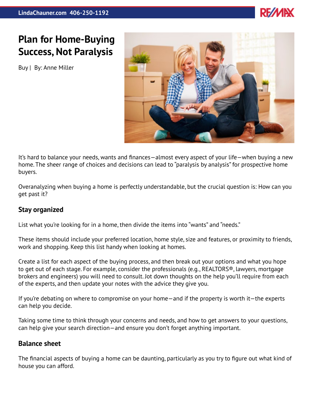

## **Plan for Home-Buying Success, Not Paralysis**

Buy | By: Anne Miller



It's hard to balance your needs, wants and finances—almost every aspect of your life—when buying a new home. The sheer range of choices and decisions can lead to "paralysis by analysis" for prospective home buyers.

Overanalyzing when buying a home is perfectly understandable, but the crucial question is: How can you get past it?

## **Stay organized**

List what you're looking for in a home, then divide the items into "wants" and "needs."

These items should include your preferred location, home style, size and features, or proximity to friends, work and shopping. Keep this list handy when looking at homes.

Create a list for each aspect of the buying process, and then break out your options and what you hope to get out of each stage. For example, consider the professionals (e.g., REALTORS®, lawyers, mortgage brokers and engineers) you will need to consult. Jot down thoughts on the help you'll require from each of the experts, and then update your notes with the advice they give you.

If you're debating on where to compromise on your home—and if the property is worth it—the experts can help you decide.

Taking some time to think through your concerns and needs, and how to get answers to your questions, can help give your search direction—and ensure you don't forget anything important.

## **Balance sheet**

The financial aspects of buying a home can be daunting, particularly as you try to figure out what kind of house you can afford.